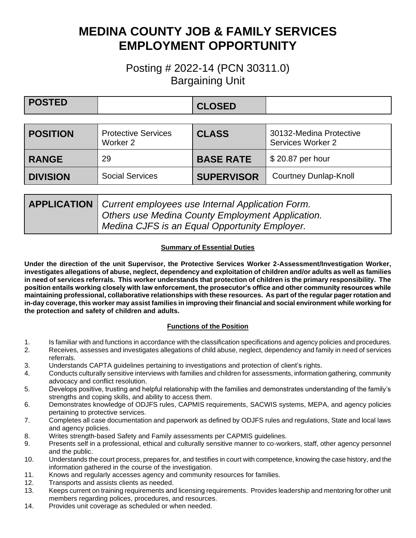# **MEDINA COUNTY JOB & FAMILY SERVICES EMPLOYMENT OPPORTUNITY**

## Posting # 2022-14 (PCN 30311.0) Bargaining Unit

| <b>POSTED</b>   |                                                   | <b>CLOSED</b>     |                                              |
|-----------------|---------------------------------------------------|-------------------|----------------------------------------------|
|                 |                                                   |                   |                                              |
| <b>POSITION</b> | <b>Protective Services</b><br>Worker <sub>2</sub> | <b>CLASS</b>      | 30132-Medina Protective<br>Services Worker 2 |
| <b>RANGE</b>    | 29                                                | <b>BASE RATE</b>  | \$20.87 per hour                             |
| <b>DIVISION</b> | <b>Social Services</b>                            | <b>SUPERVISOR</b> | <b>Courtney Dunlap-Knoll</b>                 |

| <b>APPLICATION</b>   Current employees use Internal Application Form. |  |
|-----------------------------------------------------------------------|--|
| Others use Medina County Employment Application.                      |  |
| Medina CJFS is an Equal Opportunity Employer.                         |  |

#### **Summary of Essential Duties**

**Under the direction of the unit Supervisor, the Protective Services Worker 2-Assessment/Investigation Worker, investigates allegations of abuse, neglect, dependency and exploitation of children and/or adults as well as families in need of services referrals. This worker understands that protection of children is the primary responsibility. The position entails working closely with law enforcement, the prosecutor's office and other community resources while maintaining professional, collaborative relationships with these resources. As part of the regular pager rotation and in-day coverage, this worker may assist families in improving their financial and social environment while working for the protection and safety of children and adults.**

#### **Functions of the Position**

- 1. Is familiar with and functions in accordance with the classification specifications and agency policies and procedures.
- 2. Receives, assesses and investigates allegations of child abuse, neglect, dependency and family in need of services referrals.
- 3. Understands CAPTA guidelines pertaining to investigations and protection of client's rights.
- 4. Conducts culturally sensitive interviews with families and children for assessments, information gathering, community advocacy and conflict resolution.
- 5. Develops positive, trusting and helpful relationship with the families and demonstrates understanding of the family's strengths and coping skills, and ability to access them.
- 6. Demonstrates knowledge of ODJFS rules, CAPMIS requirements, SACWIS systems, MEPA, and agency policies pertaining to protective services.
- 7. Completes all case documentation and paperwork as defined by ODJFS rules and regulations, State and local laws and agency policies.
- 8. Writes strength-based Safety and Family assessments per CAPMIS guidelines.
- 9. Presents self in a professional, ethical and culturally sensitive manner to co-workers, staff, other agency personnel and the public.
- 10. Understands the court process, prepares for, and testifies in court with competence, knowing the case history, and the information gathered in the course of the investigation.
- 11. Knows and regularly accesses agency and community resources for families.
- 12. Transports and assists clients as needed.
- 13. Keeps current on training requirements and licensing requirements. Provides leadership and mentoring for other unit members regarding polices, procedures, and resources.
- 14. Provides unit coverage as scheduled or when needed.